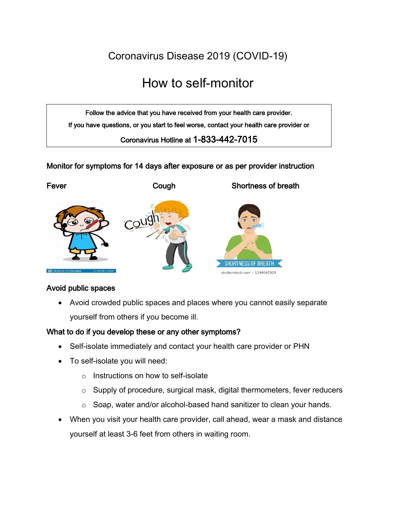Coronavirus Disease 2019 (COVID-19)

# How to self-monitor

Follow the advice that you have received from your health care provider. If you have questions, or you start to feel worse, contact your health care provider or

Coronavirus Hotline at 1-833-442-7015

### Monitor for symptoms for 14 days after exposure or as per provider instruction



#### Avoid public spaces

 Avoid crowded public spaces and places where you cannot easily separate yourself from others if you become ill.

#### What to do if you develop these or any other symptoms?

- Self-isolate immediately and contact your health care provider or PHN
- To self-isolate you will need:
	- o Instructions on how to self-isolate
	- o Supply of procedure, surgical mask, digital thermometers, fever reducers
	- o Soap, water and/or alcohol-based hand sanitizer to clean your hands.
- When you visit your health care provider, call ahead, wear a mask and distance yourself at least 3-6 feet from others in waiting room.